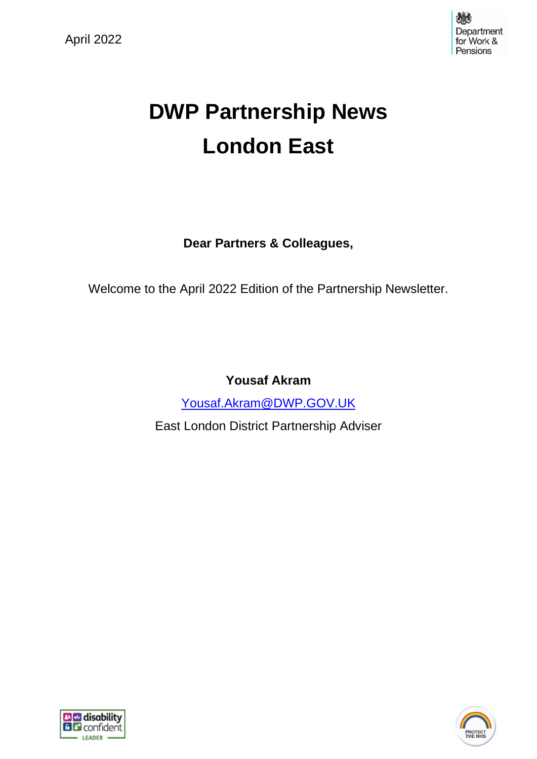

# **DWP Partnership News London East**

**Dear Partners & Colleagues,**

Welcome to the April 2022 Edition of the Partnership Newsletter.

**Yousaf Akram**

[Yousaf.Akram@DWP.GOV.UK](mailto:Yousaf.Akram@DWP.GOV.UK)

East London District Partnership Adviser



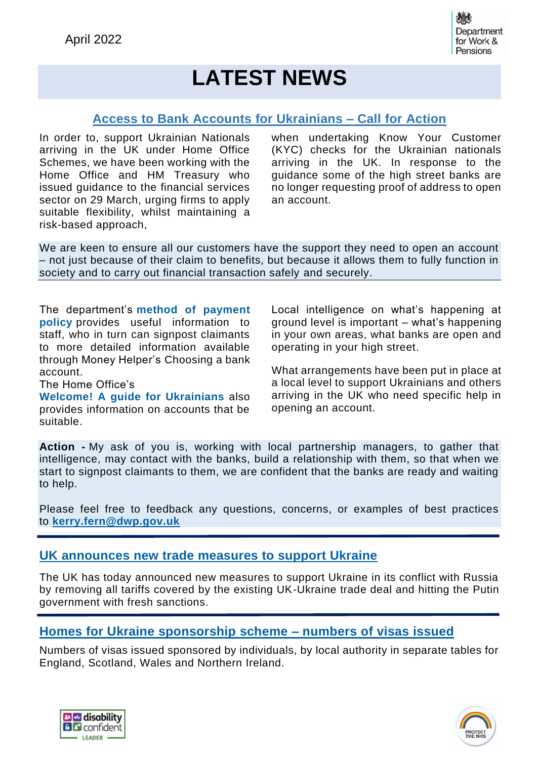## **LATEST NEWS**

#### **Access to Bank Accounts for Ukrainians – Call for Action**

In order to, support Ukrainian Nationals arriving in the UK under Home Office Schemes, we have been working with the Home Office and HM Treasury who issued guidance to the financial services sector on 29 March, urging firms to apply suitable flexibility, whilst maintaining a risk-based approach,

when undertaking Know Your Customer (KYC) checks for the Ukrainian nationals arriving in the UK. In response to the guidance some of the high street banks are no longer requesting proof of address to open an account.

We are keen to ensure all our customers have the support they need to open an account – not just because of their claim to benefits, but because it allows them to fully function in society and to carry out financial transaction safely and securely.

The department's **method of [payment](https://intranet.dwp.gov.uk/page/dwp-method-payment-policy) [policy](https://intranet.dwp.gov.uk/page/dwp-method-payment-policy)** provides useful information to staff, who in turn can signpost claimants to more detailed information available through Money Helper's Choosing a bank account.

The Home Office's

**Welcome! A guide for [Ukrainians](https://assets.publishing.service.gov.uk/government/uploads/system/uploads/attachment_data/file/1064315/Ukraine_Welcome_Guidance.pdf)** also provides information on accounts that be suitable.

Local intelligence on what's happening at ground level is important – what's happening in your own areas, what banks are open and operating in your high street.

What arrangements have been put in place at a local level to support Ukrainians and others arriving in the UK who need specific help in opening an account.

**Action -** My ask of you is, working with local partnership managers, to gather that intelligence, may contact with the banks, build a relationship with them, so that when we start to signpost claimants to them, we are confident that the banks are ready and waiting to help.

Please feel free to feedback any questions, concerns, or examples of best practices to **[kerry.fern@dwp.gov.uk](mailto:kerry.fern@dwp.gov.uk)**

#### **UK [announces](https://www.gov.uk/government/news/uk-announces-new-trade-measures-to-support-ukraine) new trade measures to support Ukraine**

The UK has today announced new measures to support Ukraine in its conflict with Russia by removing all tariffs covered by the existing UK-Ukraine trade deal and hitting the Putin government with fresh sanctions.

#### **Homes for Ukraine [sponsorship](https://www.gov.uk/government/publications/homes-for-ukraine-sponsorship-scheme-numbers-of-visa-applications) scheme – numbers of visas issued**

Numbers of visas issued sponsored by individuals, by local authority in separate tables for England, Scotland, Wales and Northern Ireland.



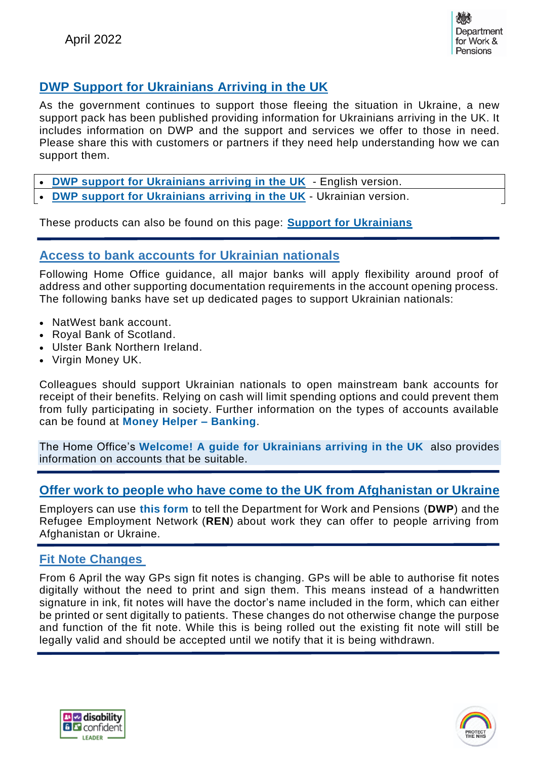

## **DWP Support for [Ukrainians](https://intranet.dwp.gov.uk/section/operational-instructions/employers-and-partners-knowledge-hub/national-employers-partnerships/support-claimants/refugees/refugee-toolkit/support-ukrainians) Arriving in the UK**

As the government continues to support those fleeing the situation in Ukraine, a new support pack has been published providing information for Ukrainians arriving in the UK. It includes information on DWP and the support and services we offer to those in need. Please share this with customers or partners if they need help understanding how we can support them.

- **DWP support for [Ukrainians](https://intranet.dwp.gov.uk/file/993759/download/DWP%2520support%2520for%2520Ukrainians%2520arriving%2520in%2520the%2520UK.pdf) arriving in the UK** English version.
- **DWP support for [Ukrainians](https://intranet.dwp.gov.uk/file/996081/download/DWP%2520support%2520for%2520Ukrainians%2520arriving%2520in%2520the%2520UK.pdf) arriving in the UK** Ukrainian version.

These products can also be found on this page: **Support for [Ukrainians](https://intranet.dwp.gov.uk/section/operational-instructions/employers-and-partners-knowledge-hub/national-employers-partnerships/support-claimants/refugees/refugee-toolkit/support-ukrainians)**

#### **Access to bank accounts for Ukrainian nationals**

Following Home Office guidance, all major banks will apply flexibility around proof of address and other supporting documentation requirements in the account opening process. The following banks have set up dedicated pages to support Ukrainian nationals:

- NatWest bank account.
- Royal Bank of Scotland.
- Ulster Bank Northern Ireland.
- Virgin Money UK.

Colleagues should support Ukrainian nationals to open mainstream bank accounts for receipt of their benefits. Relying on cash will limit spending options and could prevent them from fully participating in society. Further information on the types of accounts available can be found at **Money Helper – [Banking](https://www.moneyhelper.org.uk/en/everyday-money/banking)**.

The Home Office's **Welcome! A guide for [Ukrainians](https://assets.publishing.service.gov.uk/government/uploads/system/uploads/attachment_data/file/1064315/Ukraine_Welcome_Guidance.pdf) arriving in the UK** also provides information on accounts that be suitable.

#### **Offer work to people who have come to the UK from [Afghanistan](https://www.gov.uk/government/publications/offer-work-to-people-who-have-come-to-the-uk-from-afghanistan-or-ukraine?utm_medium=email&utm_campaign=govuk-notifications-topic&utm_source=ba456a84-f326-40d4-962b-334ac6fd8b30&utm_content=immediately) or Ukraine**

Employers can use **this [form](https://view.officeapps.live.com/op/view.aspx?src=https%3A%2F%2Fassets.publishing.service.gov.uk%2Fgovernment%2Fuploads%2Fsystem%2Fuploads%2Fattachment_data%2Ffile%2F1067758%2Foffer-work-to-people-who-have-come-to-the-uk-from-ukraine-form.odt&wdOrigin=BROWSELINK)** to tell the Department for Work and Pensions (**DWP**) and the Refugee Employment Network (**REN**) about work they can offer to people arriving from Afghanistan or Ukraine.

#### **Fit Note Changes**

From 6 April the way GPs sign fit notes is changing. GPs will be able to authorise fit notes digitally without the need to print and sign them. This means instead of a handwritten signature in ink, fit notes will have the doctor's name included in the form, which can either be printed or sent digitally to patients. These changes do not otherwise change the purpose and function of the fit note. While this is being rolled out the existing fit note will still be legally valid and should be accepted until we notify that it is being withdrawn.



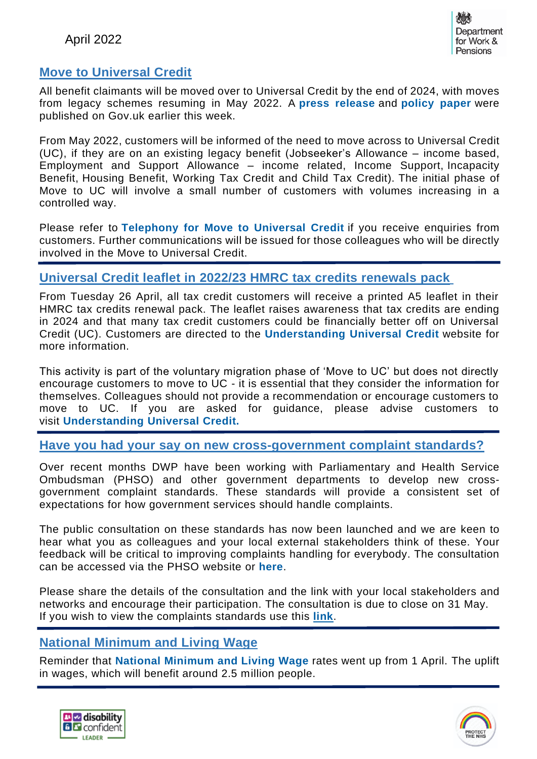

#### **Move to Universal Credit**

All benefit claimants will be moved over to Universal Credit by the end of 2024, with moves from legacy schemes resuming in May 2022. A **press [release](https://www.gov.uk/government/news/managed-move-of-claimants-to-universal-credit-set-to-restart?utm_medium=email&utm_campaign=govuk-notifications-topic&utm_source=ac31add1-2494-4d48-9891-1460013aca63&utm_content=immediately)** and **[policy](https://www.gov.uk/government/publications/completing-the-move-to-universal-credit?utm_medium=email&utm_campaign=govuk-notifications-topic&utm_source=88c60e84-6e4d-4955-8b10-0375ff655016&utm_content=immediately) paper** were published on Gov.uk earlier this week.

From May 2022, customers will be informed of the need to move across to Universal Credit (UC), if they are on an existing legacy benefit (Jobseeker's Allowance – income based, Employment and Support Allowance – income related, Income Support, Incapacity Benefit, Housing Benefit, Working Tax Credit and Child Tax Credit). The initial phase of Move to UC will involve a small number of customers with volumes increasing in a controlled way.

Please refer to **[Telephony](https://intranet.dwp.gov.uk/page/telephony-move-universal-credit) for Move to Universal Credit** if you receive enquiries from customers. Further communications will be issued for those colleagues who will be directly involved in the Move to Universal Credit.

#### **Universal Credit leaflet in 2022/23 HMRC tax credits renewals pack**

From Tuesday 26 April, all tax credit customers will receive a printed A5 leaflet in their HMRC tax credits renewal pack. The leaflet raises awareness that tax credits are ending in 2024 and that many tax credit customers could be financially better off on Universal Credit (UC). Customers are directed to the **[Understanding](https://www.understandinguniversalcredit.gov.uk/tax-credits-customers/tax-credits-are-ending/) Universal Credit** website for more information.

This activity is part of the voluntary migration phase of 'Move to UC' but does not directly encourage customers to move to UC - it is essential that they consider the information for themselves. Colleagues should not provide a recommendation or encourage customers to move to UC. If you are asked for guidance, please advise customers to visit **[Understanding](https://www.understandinguniversalcredit.gov.uk/tax-credits-customers/tax-credits-are-ending/) Universal Credit.**

#### **Have you had your say on new cross-government complaint standards?**

Over recent months DWP have been working with Parliamentary and Health Service Ombudsman (PHSO) and other government departments to develop new crossgovernment complaint standards. These standards will provide a consistent set of expectations for how government services should handle complaints.

The public consultation on these standards has now been launched and we are keen to hear what you as colleagues and your local external stakeholders think of these. Your feedback will be critical to improving complaints handling for everybody. The consultation can be accessed via the PHSO website or **[here](https://www.ombudsman.org.uk/gcs?utm_source=Department-For-Work-And-Pensions&utm_medium=website&utm_campaign=GCS-Consultation)**.

Please share the details of the consultation and the link with your local stakeholders and networks and encourage their participation. The consultation is due to close on 31 May. If you wish to view the complaints standards use this **[link](https://www.ombudsman.org.uk/sites/default/files/UK_Central_Government_Complaint_Standards_Final.pdf)**.

#### **National Minimum and Living Wage**

Reminder that **National [Minimum](https://www.gov.uk/government/news/pay-boost-for-millions-as-national-minimum-and-living-wage-rates-go-up-from-today) and Living Wage** rates went up from 1 April. The uplift in wages, which will benefit around 2.5 million people.



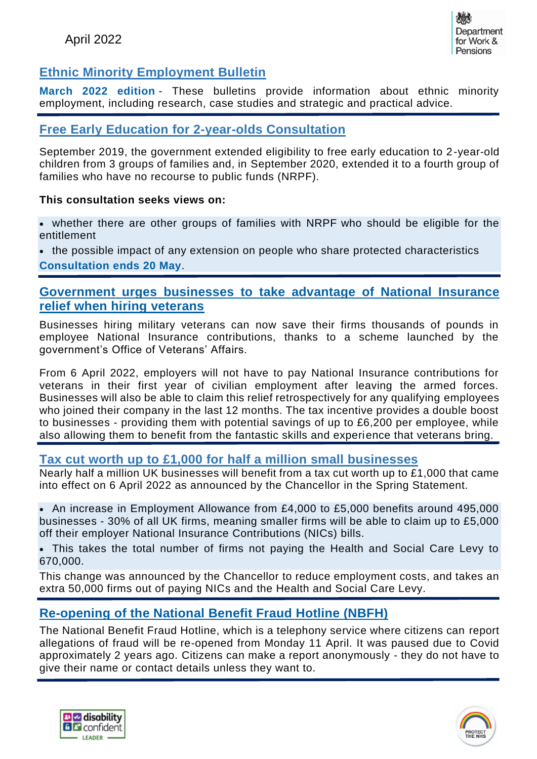## **Ethnic Minority Employment Bulletin**

**March 2022 [edition](https://www.gov.uk/government/publications/ethnic-minority-employment-bulletins/ethnic-minority-employment-bulletin-march-2022)** - These bulletins provide information about ethnic minority employment, including research, case studies and strategic and practical advice.

#### **Free Early Education for 2-year-olds Consultation**

September 2019, the government extended eligibility to free early education to 2-year-old children from 3 groups of families and, in September 2020, extended it to a fourth group of families who have no recourse to public funds (NRPF).

#### **This consultation seeks views on:**

• whether there are other groups of families with NRPF who should be eligible for the entitlement

• the possible impact of any extension on people who share protected characteristics **[Consultation](https://www.gov.uk/government/consultations/free-early-education-for-2-year-olds-with-no-recourse-to-public-funds-nrpf) ends 20 May**.

#### **[Government](https://www.gov.uk/government/news/government-urges-businesses-to-take-advantage-of-national-insurance-relief-when-hiring-veterans) urges businesses to take advantage of National Insurance relief when hiring [veterans](https://www.gov.uk/government/news/government-urges-businesses-to-take-advantage-of-national-insurance-relief-when-hiring-veterans)**

Businesses hiring military veterans can now save their firms thousands of pounds in employee National Insurance contributions, thanks to a scheme launched by the government's Office of Veterans' Affairs.

From 6 April 2022, employers will not have to pay National Insurance contributions for veterans in their first year of civilian employment after leaving the armed forces. Businesses will also be able to claim this relief retrospectively for any qualifying employees who joined their company in the last 12 months. The tax incentive provides a double boost to businesses - providing them with potential savings of up to £6,200 per employee, while also allowing them to benefit from the fantastic skills and experience that veterans bring.

#### **Tax cut worth up to £1,000 for half a million small [businesses](https://www.gov.uk/government/news/tax-cut-worth-up-to-1000-for-half-a-million-small-businesses-starts-today)**

Nearly half a million UK businesses will benefit from a tax cut worth up to £1,000 that came into effect on 6 April 2022 as announced by the Chancellor in the Spring Statement.

• An increase in Employment Allowance from £4,000 to £5,000 benefits around 495,000 businesses - 30% of all UK firms, meaning smaller firms will be able to claim up to £5,000 off their employer National Insurance Contributions (NICs) bills.

• This takes the total number of firms not paying the Health and Social Care Levy to 670,000.

This change was announced by the Chancellor to reduce employment costs, and takes an extra 50,000 firms out of paying NICs and the Health and Social Care Levy.

## **[Re-opening](https://intranet.dwp.gov.uk/manual/case-preparation-instructions/other-sources-referral) of the National Benefit Fraud Hotline (NBFH)**

The National Benefit Fraud Hotline, which is a telephony service where citizens can report allegations of fraud will be re-opened from Monday 11 April. It was paused due to Covid approximately 2 years ago. Citizens can make a report anonymously - they do not have to give their name or contact details unless they want to.



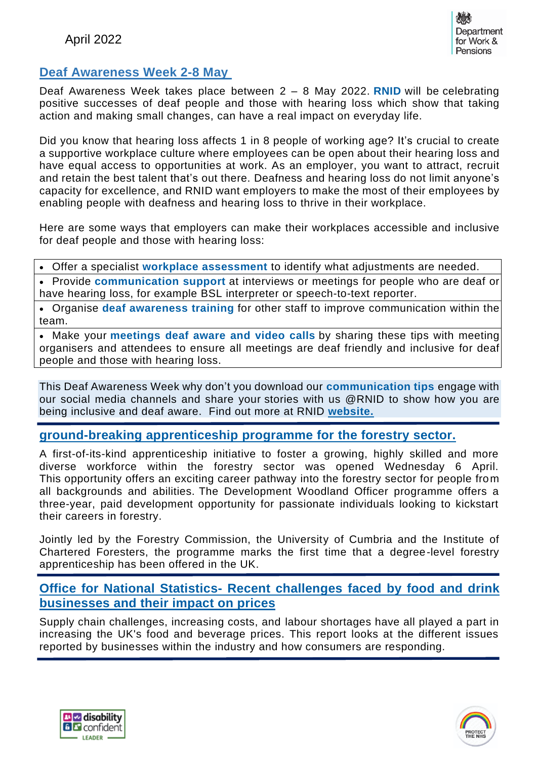## **Deaf Awareness Week 2-8 May**

Deaf Awareness Week takes place between 2 – 8 May 2022. **[RNID](https://rnid.org.uk/information-and-support/deaf-awareness/)** will be celebrating positive successes of deaf people and those with hearing loss which show that taking action and making small changes, can have a real impact on everyday life.

Did you know that hearing loss affects 1 in 8 people of working age? It's crucial to create a supportive workplace culture where employees can be open about their hearing loss and have equal access to opportunities at work. As an employer, you want to attract, recruit and retain the best talent that's out there. Deafness and hearing loss do not limit anyone's capacity for excellence, and RNID want employers to make the most of their employees by enabling people with deafness and hearing loss to thrive in their workplace.

Here are some ways that employers can make their workplaces accessible and inclusive for deaf people and those with hearing loss:

• Offer a specialist **workplace [assessment](https://rnid.org.uk/information-and-support/work-job-employment/)** to identify what adjustments are needed.

• Provide **[communication](https://rnid.org.uk/information-and-support/communication-support/) support** at interviews or meetings for people who are deaf or have hearing loss, for example BSL interpreter or speech-to-text reporter.

• Organise **deaf [awareness](https://rnid.org.uk/information-and-support/deaf-awareness/remote-training-for-businesses/) training** for other staff to improve communication within the team.

• Make your **[meetings](https://rnid.org.uk/information-and-support/how-to-communicate-with-deaf-people-hearing-loss/) deaf aware and video calls** by sharing these tips with meeting organisers and attendees to ensure all meetings are deaf friendly and inclusive for deaf people and those with hearing loss.

This Deaf Awareness Week why don't you download our **[communication](https://rnid.org.uk/information-and-support/how-to-communicate-with-deaf-people-hearing-loss/) tips** engage with our social media channels and share your stories with us @RNID to show how you are being inclusive and deaf aware. Find out more at RNID **[website.](http://rnid.org.uk/)**

#### **[ground-breaking](https://www.gov.uk/government/news/forestry-commission-announces-ground-breaking-apprenticeship-programme-for-the-forestry-sector) apprenticeship programme for the forestry sector.**

A first-of-its-kind apprenticeship initiative to foster a growing, highly skilled and more diverse workforce within the forestry sector was opened Wednesday 6 April. This opportunity offers an exciting career pathway into the forestry sector for people from all backgrounds and abilities. The Development Woodland Officer programme offers a three-year, paid development opportunity for passionate individuals looking to kickstart their careers in forestry.

Jointly led by the Forestry Commission, the University of Cumbria and the Institute of Chartered Foresters, the programme marks the first time that a degree-level forestry apprenticeship has been offered in the UK.

#### **Office for National Statistics- Recent [challenges](https://www.ons.gov.uk/businessindustryandtrade/business/businessservices/articles/recentchallengesfacedbyfoodanddrinkbusinessesandtheirimpactonprices/2022-04-04) faced by food and drink [businesses](https://www.ons.gov.uk/businessindustryandtrade/business/businessservices/articles/recentchallengesfacedbyfoodanddrinkbusinessesandtheirimpactonprices/2022-04-04) and their impact on prices**

Supply chain challenges, increasing costs, and labour shortages have all played a part in increasing the UK's food and beverage prices. This report looks at the different issues reported by businesses within the industry and how consumers are responding.



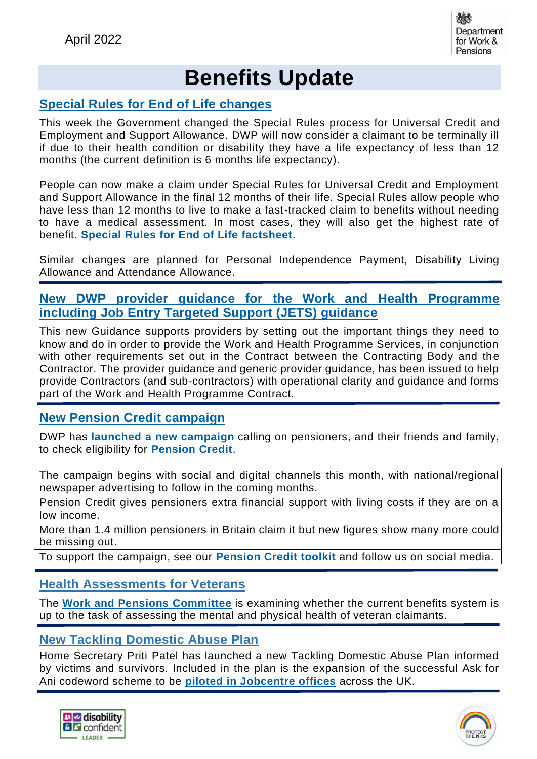

## **Benefits Update**

#### **[Special](https://intranet.dwp.gov.uk/page/special-rules-universal-credit-and-employment-and-support-allowance-4-april-2022) Rules for End of Life [changes](https://intranet.dwp.gov.uk/page/special-rules-universal-credit-and-employment-and-support-allowance-4-april-2022)**

This week the Government changed the Special Rules process for Universal Credit and Employment and Support Allowance. DWP will now consider a claimant to be terminally ill if due to their health condition or disability they have a life expectancy of less than 12 months (the current definition is 6 months life expectancy).

People can now make a claim under Special Rules for Universal Credit and Employment and Support Allowance in the final 12 months of their life. Special Rules allow people who have less than 12 months to live to make a fast-tracked claim to benefits without needing to have a medical assessment. In most cases, they will also get the highest rate of benefit. **Special Rules for End of Life [factsheet](https://news.dwp.gov.uk/dwplz/lz.aspx?p1=MzLDU3MTE2OFMzNTM0OjAxMTJFOEQzOEI4RTdENDU4NERCMjEzQjY2MDg0RUE2-&w=78269)**.

Similar changes are planned for Personal Independence Payment, Disability Living Allowance and Attendance Allowance.

#### **New DWP provider guidance for the Work and Health Programme including Job Entry Targeted Support (JETS) guidance**

This new Guidance supports providers by setting out the important things they need to know and do in order to provide the Work and Health Programme Services, in conjunction with other requirements set out in the Contract between the Contracting Body and the Contractor. The provider guidance and generic provider guidance, has been issued to help provide Contractors (and sub-contractors) with operational clarity and guidance and forms part of the Work and Health Programme Contract.

#### **New Pension Credit [campaign](https://www.gov.uk/government/news/eligible-pensioners-urged-to-apply-for-pension-credit-in-new-campaign?utm_source=https%3a%2f%2fnews.dwp.gov.uk%2fdwplz%2f&utm_medium=email&utm_campaign=Touchbase+-+8+April+2022&utm_term=Touchbase+-+8+April+2022&utm_content=86117)**

DWP has **launched a new [campaign](https://news.dwp.gov.uk/dwplz/lz.aspx?p1=MzLDU3MTE2OFMzNTM0OjAxMTJFOEQzOEI4RTdENDU4NERCMjEzQjY2MDg0RUE2-&CC=&w=78283)** calling on pensioners, and their friends and family, to check eligibility for **[Pension](https://news.dwp.gov.uk/dwplz/lz.aspx?p1=MzLDU3MTE2OFMzNTM0OjAxMTJFOEQzOEI4RTdENDU4NERCMjEzQjY2MDg0RUE2-&CC=&w=78272) Credit**.

The campaign begins with social and digital channels this month, with national/regional newspaper advertising to follow in the coming months.

Pension Credit gives pensioners extra financial support with living costs if they are on a low income.

More than 1.4 million pensioners in Britain claim it but new figures show many more could be missing out.

To support the campaign, see our **[Pension](https://news.dwp.gov.uk/dwplz/lz.aspx?p1=MzLDU3MTE2OFMzNTM0OjAxMTJFOEQzOEI4RTdENDU4NERCMjEzQjY2MDg0RUE2-&CC=&w=78271) Credit toolkit** and follow us on social media.

#### **Health Assessments for Veterans**

The **Work and Pensions [Committee](https://committees.parliament.uk/committee/164/work-and-pensions-committee/news/165123/veterans-charities-and-academics-questioned-on-health-assessments-for-veterans-claiming-benefits/)** is examining whether the current benefits system is up to the task of assessing the mental and physical health of veteran claimants.

#### **New Tackling Domestic Abuse Plan**

Home Secretary Priti Patel has launched a new Tackling Domestic Abuse Plan informed by victims and survivors. Included in the plan is the expansion of the successful Ask for Ani codeword scheme to be **piloted in [Jobcentre](https://www.gov.uk/government/news/home-secretary-launches-new-tackling-domestic-abuse-plan) offices** across the UK.



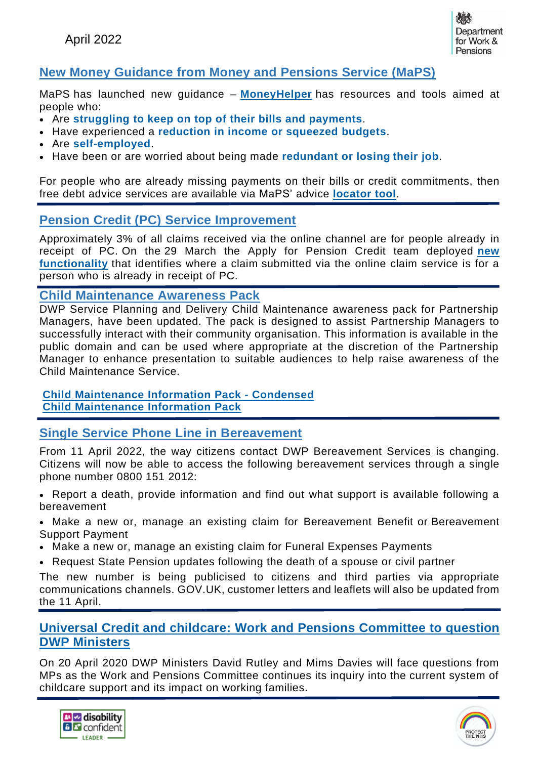

## **New Money Guidance from Money and Pensions Service (MaPS)**

MaPS has launched new guidance – **[MoneyHelper](https://www.moneyhelper.org.uk/en/money-troubles/way-forward/)** has resources and tools aimed at people who:

- Are **[struggling](https://www.moneyhelper.org.uk/en/money-troubles/way-forward/bill-prioritiser) to keep on top of their bills and payments**.
- Have experienced a **[reduction](https://www.moneyhelper.org.uk/en/money-troubles/way-forward/squeezed-income) in income or squeezed budgets**.
- Are **[self-employed](https://www.moneyhelper.org.uk/en/money-troubles/way-forward/self-employed)**.
- Have been or are worried about being made **redundant or [losing their](https://www.moneyhelper.org.uk/en/money-troubles/way-forward/job-loss) job**.

For people who are already missing payments on their bills or credit commitments, then free debt advice services are available via MaPS' advice **[locator](https://www.moneyhelper.org.uk/en/money-troubles/dealing-with-debt/debt-advice-locator) tool**.

#### **Pension Credit (PC) Service Improvement**

Approximately 3% of all claims received via the online channel are for people already in receipt of PC. On the 29 March the Apply for Pension Credit team deployed **[new](https://intranet.dwp.gov.uk/blog/apply-pension-credit-service-continues-improve) [functionality](https://intranet.dwp.gov.uk/blog/apply-pension-credit-service-continues-improve)** that identifies where a claim submitted via the online claim service is for a person who is already in receipt of PC.

#### **Child Maintenance Awareness Pack**

DWP Service Planning and Delivery Child Maintenance awareness pack for Partnership Managers, have been updated. The pack is designed to assist Partnership Managers to successfully interact with their community organisation. This information is available in the public domain and can be used where appropriate at the discretion of the Partnership Manager to enhance presentation to suitable audiences to help raise awareness of the Child Maintenance Service.

#### **Child [Maintenance](https://intranet.dwp.gov.uk/file/955872/download/Child%2520Maintenance%2520Information%2520Pack%2520-%2520Condensed.pptx) Information Pack - Condensed Child [Maintenance](https://intranet.dwp.gov.uk/file/955871/download/Child%2520Maintenance%2520Information%2520Pack.pptx) Information Pack**

#### **Single Service Phone Line in Bereavement**

From 11 April 2022, the way citizens contact DWP Bereavement Services is changing. Citizens will now be able to access the following bereavement services through a single phone number 0800 151 2012:

• Report a death, provide information and find out what support is available following a bereavement

• Make a new or, manage an existing claim for Bereavement Benefit or Bereavement Support Payment

- Make a new or, manage an existing claim for Funeral Expenses Payments
- Request State Pension updates following the death of a spouse or civil partner

The new number is being publicised to citizens and third parties via appropriate communications channels. GOV.UK, customer letters and leaflets will also be updated from the 11 April.

#### **Universal Credit and childcare: Work and Pensions [Committee](https://committees.parliament.uk/committee/164/work-and-pensions-committee/news/165908/universal-credit-and-childcare-work-and-pensions-committee-to-question-dwp-ministers/) to question DWP [Ministers](https://committees.parliament.uk/committee/164/work-and-pensions-committee/news/165908/universal-credit-and-childcare-work-and-pensions-committee-to-question-dwp-ministers/)**

On 20 April 2020 DWP Ministers David Rutley and Mims Davies will face questions from MPs as the Work and Pensions Committee continues its inquiry into the current system of childcare support and its impact on working families.



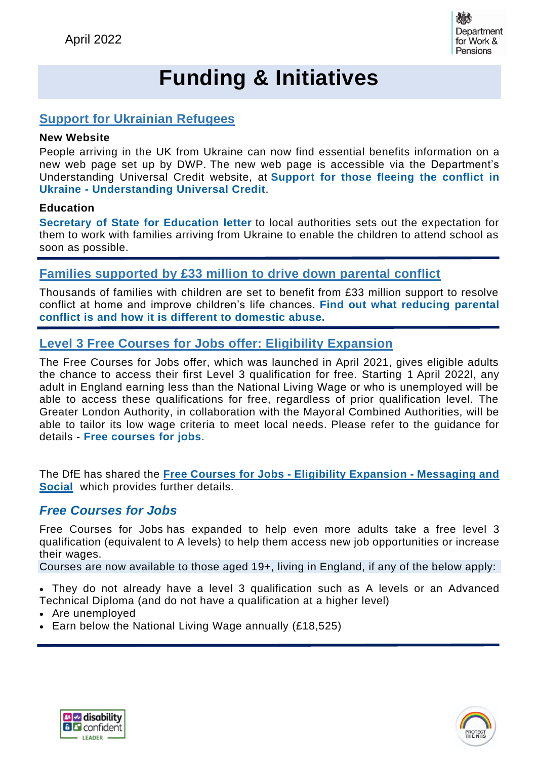

## **Funding & Initiatives**

### **Support for Ukrainian Refugees**

#### **New Website**

People arriving in the UK from Ukraine can now find essential benefits information on a new web page set up by DWP. The new web page is accessible via the Department's Understanding Universal Credit website, at **[Support](https://www.understandinguniversalcredit.gov.uk/support-for-those-fleeing-the-conflict-in-ukraine/) for those fleeing the conflict in Ukraine - [Understanding](https://www.understandinguniversalcredit.gov.uk/support-for-those-fleeing-the-conflict-in-ukraine/) Universal Credit**.

#### **Education**

**Secretary of State for [Education](https://assets.publishing.service.gov.uk/government/uploads/system/uploads/attachment_data/file/1065925/SoS_letter_to_LAs_Ukraine.pdf) letter** to local authorities sets out the expectation for them to work with families arriving from Ukraine to enable the children to attend school as soon as possible.

## **Families [supported](https://www.gov.uk/government/news/families-supported-by-33-million-to-drive-down-parental-conflict?utm_medium=email&utm_campaign=govuk-notifications-topic&utm_source=35dd1279-d980-4204-841a-a511598ef509&utm_content=immediately) by £33 million to drive down parental conflict**

Thousands of families with children are set to benefit from £33 million support to resolve conflict at home and improve children's life chances. **Find out what [reducing](https://www.gov.uk/guidance/reducing-parental-conflict-what-is-parental-conflict?utm_medium=email&utm_campaign=govuk-notifications-topic&utm_source=d1bf44d8-4bcd-4fca-8782-8a1f582c1793&utm_content=immediately) parental conflict is and how it is different to [domestic](https://www.gov.uk/guidance/reducing-parental-conflict-what-is-parental-conflict?utm_medium=email&utm_campaign=govuk-notifications-topic&utm_source=d1bf44d8-4bcd-4fca-8782-8a1f582c1793&utm_content=immediately) abuse.**

#### **Level 3 Free Courses for Jobs offer: Eligibility Expansion**

The Free Courses for Jobs offer, which was launched in April 2021, gives eligible adults the chance to access their first Level 3 qualification for free. Starting 1 April 2022l, any adult in England earning less than the National Living Wage or who is unemployed will be able to access these qualifications for free, regardless of prior qualification level. The Greater London Authority, in collaboration with the Mayoral Combined Authorities, will be able to tailor its low wage criteria to meet local needs. Please refer to the guidance for details - **Free [courses](https://www.gov.uk/guidance/free-courses-for-jobs) for jobs**.

The DfE has shared the **Free Courses for Jobs - Eligibility Expansion - [Messaging](https://intranet.dwp.gov.uk/file/988910/download/Free%2520Courses%2520for%2520Jobs%2520-%2520Eligibility%2520Expansion%2520-%2520Messaging%2520and%2520Social.pdf) and [Social](https://intranet.dwp.gov.uk/file/988910/download/Free%2520Courses%2520for%2520Jobs%2520-%2520Eligibility%2520Expansion%2520-%2520Messaging%2520and%2520Social.pdf)** which provides further details.

#### *Free [Courses](https://news.dwp.gov.uk/dwplz/lz.aspx?p1=MzLDU3MTE2OFMzNTM0OjAxMTJFOEQzOEI4RTdENDU4NERCMjEzQjY2MDg0RUE2-&CC=&w=78284) for Jobs*

Free Courses for Jobs has expanded to help even more adults take a free level 3 qualification (equivalent to A levels) to help them access new job opportunities or increase their wages.

Courses are now available to those aged 19+, living in England, if any of the below apply:

• They do not already have a level 3 qualification such as A levels or an Advanced Technical Diploma (and do not have a qualification at a higher level)

- Are unemployed
- Earn below the National Living Wage annually (£18,525)



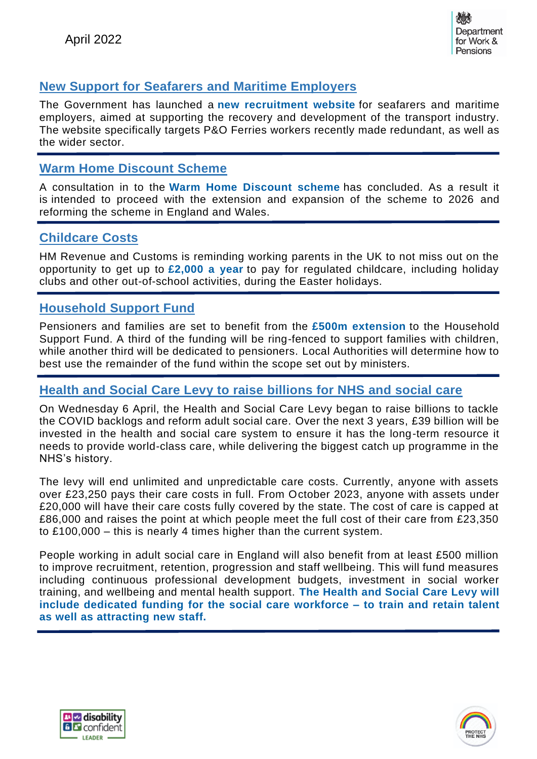

## **New Support for Seafarers and Maritime Employers**

The Government has launched a **new [recruitment](https://www.trs-system.co.uk/maritime) website** for seafarers and maritime employers, aimed at supporting the recovery and development of the transport industry. The website specifically targets P&O Ferries workers recently made redundant, as well as the wider sector.

#### **Warm Home Discount Scheme**

A consultation in to the **Warm Home [Discount](https://www.gov.uk/government/consultations/warm-home-discount-better-targeted-support-from-2022) scheme** has concluded. As a result it is intended to proceed with the extension and expansion of the scheme to 2026 and reforming the scheme in England and Wales.

#### **Childcare Costs**

HM Revenue and Customs is reminding working parents in the UK to not miss out on the opportunity to get up to **[£2,000](https://www.gov.uk/government/news/thousands-of-families-can-receive-help-with-easter-childcare-costs) a year** to pay for regulated childcare, including holiday clubs and other out-of-school activities, during the Easter holidays.

#### **Household Support Fund**

Pensioners and families are set to benefit from the **£500m [extension](https://www.gov.uk/government/news/household-support-fund-doubled-to-help-most-vulnerable-tackle-cost-of-living)** to the Household Support Fund. A third of the funding will be ring-fenced to support families with children, while another third will be dedicated to pensioners. Local Authorities will determine how to best use the remainder of the fund within the scope set out by ministers.

#### **Health and Social Care Levy to raise billions for NHS and social care**

On Wednesday 6 April, the Health and Social Care Levy began to raise billions to tackle the COVID backlogs and reform adult social care. Over the next 3 years, £39 billion will be invested in the health and social care system to ensure it has the long-term resource it needs to provide world-class care, while delivering the biggest catch up programme in the NHS's history.

The levy will end unlimited and unpredictable care costs. Currently, anyone with assets over £23,250 pays their care costs in full. From October 2023, anyone with assets under £20,000 will have their care costs fully covered by the state. The cost of care is capped at £86,000 and raises the point at which people meet the full cost of their care from £23,350 to £100,000 – this is nearly 4 times higher than the current system.

People working in adult social care in England will also benefit from at least £500 million to improve recruitment, retention, progression and staff wellbeing. This will fund measures including continuous professional development budgets, investment in social worker training, and wellbeing and mental health support. **The [Health](https://www.gov.uk/government/news/500-million-to-develop-the-adult-social-care-workforce) and Social Care Levy will include dedicated funding for the social care [workforce](https://www.gov.uk/government/news/500-million-to-develop-the-adult-social-care-workforce) – to train and retain talent as well as [attracting](https://www.gov.uk/government/news/500-million-to-develop-the-adult-social-care-workforce) new staff.**



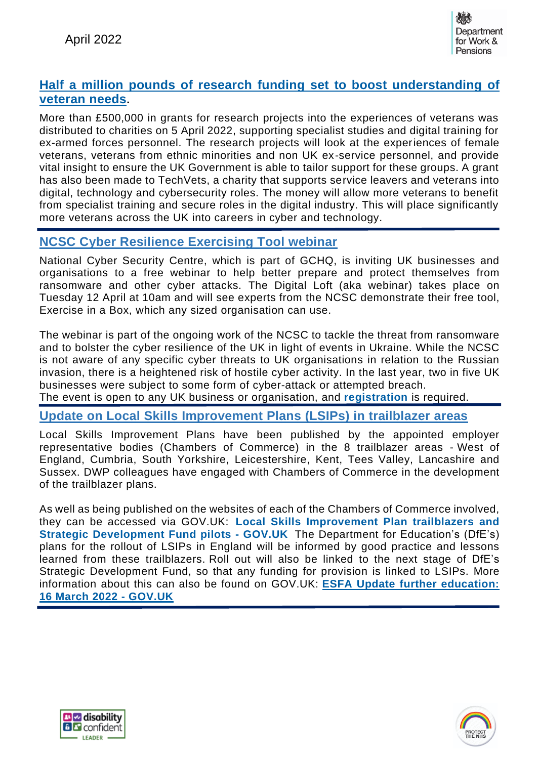

#### **Half a million pounds of research funding set to boost [understanding](https://www.gov.uk/government/news/half-a-million-pounds-of-research-funding-set-to-boost-understanding-of-veteran-needs) of [veteran](https://www.gov.uk/government/news/half-a-million-pounds-of-research-funding-set-to-boost-understanding-of-veteran-needs) needs.**

More than £500,000 in grants for research projects into the experiences of veterans was distributed to charities on 5 April 2022, supporting specialist studies and digital training for ex-armed forces personnel. The research projects will look at the experiences of female veterans, veterans from ethnic minorities and non UK ex-service personnel, and provide vital insight to ensure the UK Government is able to tailor support for these groups. A grant has also been made to TechVets, a charity that supports service leavers and veterans into digital, technology and cybersecurity roles. The money will allow more veterans to benefit from specialist training and secure roles in the digital industry. This will place significantly more veterans across the UK into careers in cyber and technology.

#### **NCSC Cyber Resilience Exercising Tool webinar**

National Cyber Security Centre, which is part of GCHQ, is inviting UK businesses and organisations to a free webinar to help better prepare and protect themselves from ransomware and other cyber attacks. The Digital Loft (aka webinar) takes place on Tuesday 12 April at 10am and will see experts from the NCSC demonstrate their free tool, Exercise in a Box, which any sized organisation can use.

The webinar is part of the ongoing work of the NCSC to tackle the threat from ransomware and to bolster the cyber resilience of the UK in light of events in Ukraine. While the NCSC is not aware of any specific cyber threats to UK organisations in relation to the Russian invasion, there is a heightened risk of hostile cyber activity. In the last year, two in five UK businesses were subject to some form of cyber-attack or attempted breach.

The event is open to any UK business or organisation, and **[registration](https://news.dwp.gov.uk/dwplz/lz.aspx?p1=MzLDU3MTE2OFMzNTM0OjAxMTJFOEQzOEI4RTdENDU4NERCMjEzQjY2MDg0RUE2-&CC=&w=78285)** is required.

#### **Update on Local Skills Improvement Plans (LSIPs) in trailblazer areas**

Local Skills Improvement Plans have been published by the appointed employer representative bodies (Chambers of Commerce) in the 8 trailblazer areas - West of England, Cumbria, South Yorkshire, Leicestershire, Kent, Tees Valley, Lancashire and Sussex. DWP colleagues have engaged with Chambers of Commerce in the development of the trailblazer plans.

As well as being published on the websites of each of the Chambers of Commerce involved, they can be accessed via GOV.UK: **Local Skills [Improvement](https://www.gov.uk/government/publications/skills-accelerator-trailblazers-and-pilots/skills-accelerator-local-skills-improvement-plan-trailblazers-and-strategic-development-fund-pilots) Plan trailblazers and Strategic [Development](https://www.gov.uk/government/publications/skills-accelerator-trailblazers-and-pilots/skills-accelerator-local-skills-improvement-plan-trailblazers-and-strategic-development-fund-pilots) Fund pilots - GOV.UK** The Department for Education's (DfE's) plans for the rollout of LSIPs in England will be informed by good practice and lessons learned from these trailblazers. Roll out will also be linked to the next stage of DfE's Strategic Development Fund, so that any funding for provision is linked to LSIPs. More information about this can also be found on GOV.UK: **ESFA Update further [education:](https://www.gov.uk/government/publications/esfa-update-16-march-2022/esfa-update-further-education-16-march-2022#information-advance-notice-of-2022-to-2023-strategic-development-funding-round) 16 March 2022 - [GOV.UK](https://www.gov.uk/government/publications/esfa-update-16-march-2022/esfa-update-further-education-16-march-2022#information-advance-notice-of-2022-to-2023-strategic-development-funding-round)**



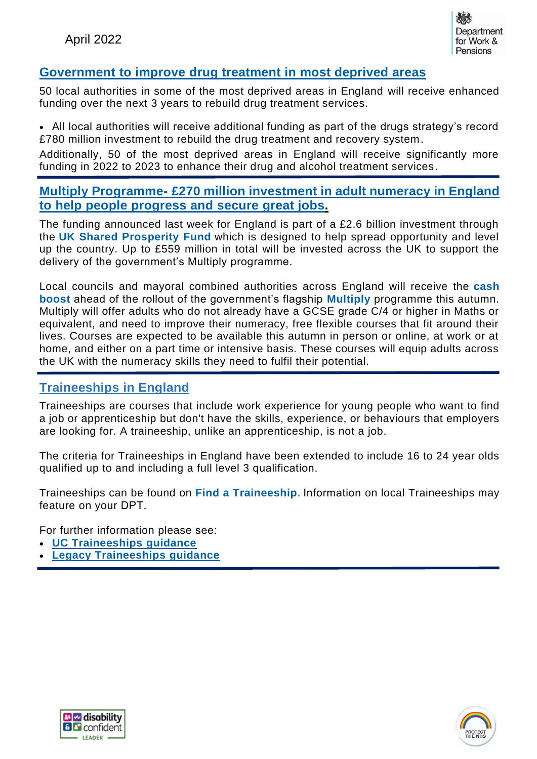

#### **[Government](https://www.gov.uk/government/news/government-to-improve-drug-treatment-in-most-deprived-areas) to improve drug treatment in most deprived areas**

50 local authorities in some of the most deprived areas in England will receive enhanced funding over the next 3 years to rebuild drug treatment services.

• All local authorities will receive additional funding as part of the drugs strategy's record £780 million investment to rebuild the drug treatment and recovery system.

Additionally, 50 of the most deprived areas in England will receive significantly more funding in 2022 to 2023 to enhance their drug and alcohol treatment services.

#### **Multiply [Programme-](https://www.gov.uk/government/news/multiplying-maths-skills-for-adults) £270 million investment in adult numeracy in England to help people [progress](https://www.gov.uk/government/news/multiplying-maths-skills-for-adults) and secure great jobs.**

The funding announced last week for England is part of a £2.6 billion investment through the **UK Shared [Prosperity](https://www.gov.uk/government/news/communities-across-uk-handed-control-of-26-billion-levelling-up-funding) Fund** which is designed to help spread opportunity and level up the country. Up to £559 million in total will be invested across the UK to support the delivery of the government's Multiply programme.

Local councils and mayoral combined authorities across England will receive the **[cash](https://www.gov.uk/government/publications/multiply-funding-available-to-improve-numeracy-skills) [boost](https://www.gov.uk/government/publications/multiply-funding-available-to-improve-numeracy-skills)** ahead of the rollout of the government's flagship **[Multiply](https://skillsforlife.campaign.gov.uk/courses/multiply/)** programme this autumn. Multiply will offer adults who do not already have a GCSE grade C/4 or higher in Maths or equivalent, and need to improve their numeracy, free flexible courses that fit around their lives. Courses are expected to be available this autumn in person or online, at work or at home, and either on a part time or intensive basis. These courses will equip adults across the UK with the numeracy skills they need to fulfil their potential.

#### **Traineeships in England**

Traineeships are courses that include work experience for young people who want to find a job or apprenticeship but don't have the skills, experience, or behaviours that employers are looking for. A traineeship, unlike an apprenticeship, is not a job.  

The criteria for Traineeships in England have been extended to include 16 to 24 year olds qualified up to and including a full level 3 qualification. 

Traineeships can be found on **Find a [Traineeship](https://www.gov.uk/find-traineeship)**. Information on local Traineeships may feature on your DPT. 

For further information please see: 

- **UC [Traineeships](https://intranet.dwp.gov.uk/policy/traineeships) guidance**
- **Legacy [Traineeships](https://intranet.dwp.gov.uk/manual/skills-guide/overview-3) guidance**



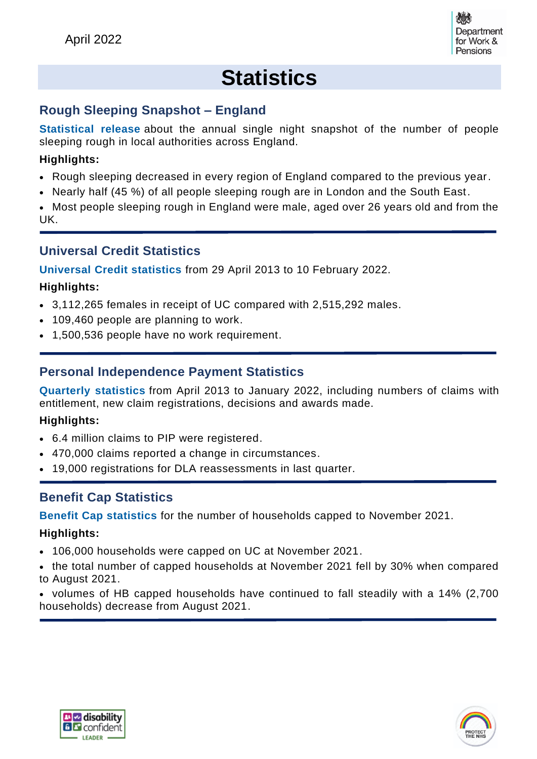

## **Statistics**

## **Rough Sleeping Snapshot – England**

**[Statistical](https://www.gov.uk/government/statistics/rough-sleeping-snapshot-in-england-autumn-2021/rough-sleeping-snapshot-in-england-autumn-2021) release** about the annual single night snapshot of the number of people sleeping rough in local authorities across England.

#### **Highlights:**

- Rough sleeping decreased in every region of England compared to the previous year.
- Nearly half (45 %) of all people sleeping rough are in London and the South East.

• Most people sleeping rough in England were male, aged over 26 years old and from the UK.

#### **Universal Credit Statistics**

**[Universal](https://www.gov.uk/government/statistics/universal-credit-statistics-29-april-2013-to-10-february-2022) Credit statistics** from 29 April 2013 to 10 February 2022.

#### **Highlights:**

- 3,112,265 females in receipt of UC compared with 2,515,292 males.
- 109,460 people are planning to work.
- 1,500,536 people have no work requirement.

## **Personal Independence Payment Statistics**

**[Quarterly](https://www.gov.uk/government/statistics/personal-independence-payment-statistics-to-january-2022/personal-independence-payment-official-statistics-to-january-2022) statistics** from April 2013 to January 2022, including numbers of claims with entitlement, new claim registrations, decisions and awards made.

#### **Highlights:**

- 6.4 million claims to PIP were registered.
- 470,000 claims reported a change in circumstances.
- 19,000 registrations for DLA reassessments in last quarter.

#### **Benefit Cap Statistics**

**Benefit Cap [statistics](https://www.gov.uk/government/statistics/benefit-cap-number-of-households-capped-to-november-2021/benefit-cap-number-of-households-capped-to-november-2021)** for the number of households capped to November 2021.

#### **Highlights:**

- 106,000 households were capped on UC at November 2021.
- the total number of capped households at November 2021 fell by 30% when compared to August 2021.
- volumes of HB capped households have continued to fall steadily with a 14% (2,700 households) decrease from August 2021.



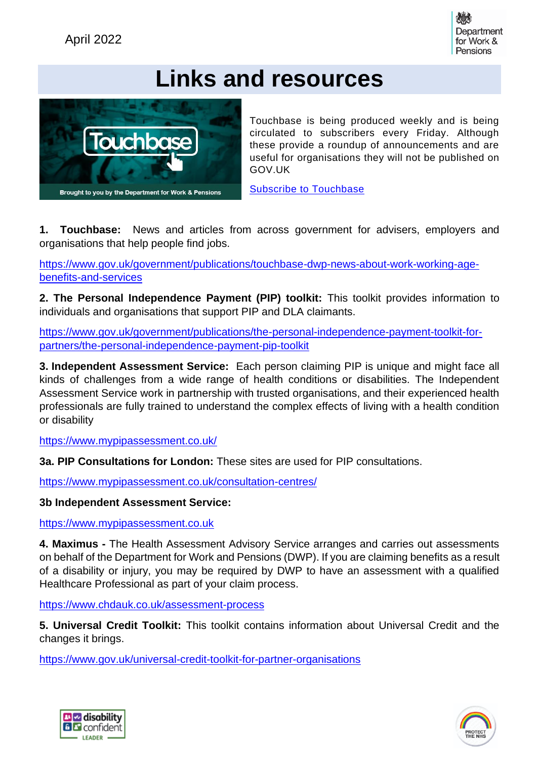

## **Links and resources**



Touchbase is being produced weekly and is being circulated to subscribers every Friday. Although these provide a roundup of announcements and are useful for organisations they will not be published on GOV.UK

[Subscribe to Touchbase](http://news.dwp.gov.uk/dwplz/WebCapture.aspx?pID=2764&t=0&utm_source=http%3a%2f%2fnews.dwp.gov.uk%2fdwplz%2f&utm_medium=email&utm_campaign=Touchbase+122&utm_term=Touchbase+122&utm_content=5&gator_td=cKaAAc%2bdb6aX2BocZoQKMNeS6FGiVFgPIc6SPjozwRs%2fnKj%2bni4q0ObcpgPjP0FVV44xM2Q95fbt4GA5EWI92MGrCaeFlmWcL8jf9aqU8cTAM2VVc0cjUAy6wBCMGJ990XXUTFntinyox8wk1EiJnBys59wZGLxkOASQiIoM%2fA3rUKU8aRDeB3jp7h1JolnS)

**1. Touchbase:** News and articles from across government for advisers, employers and organisations that help people find jobs.

[https://www.gov.uk/government/publications/touchbase-dwp-news-about-work-working-age](https://www.gov.uk/government/publications/touchbase-dwp-news-about-work-working-age-benefits-and-services)[benefits-and-services](https://www.gov.uk/government/publications/touchbase-dwp-news-about-work-working-age-benefits-and-services)

**2. The Personal Independence Payment (PIP) toolkit:** This toolkit provides information to individuals and organisations that support PIP and DLA claimants.

[https://www.gov.uk/government/publications/the-personal-independence-payment-toolkit-for](https://www.gov.uk/government/publications/the-personal-independence-payment-toolkit-for-partners/the-personal-independence-payment-pip-toolkit)[partners/the-personal-independence-payment-pip-toolkit](https://www.gov.uk/government/publications/the-personal-independence-payment-toolkit-for-partners/the-personal-independence-payment-pip-toolkit)

**3. Independent Assessment Service:** Each person claiming PIP is unique and might face all kinds of challenges from a wide range of health conditions or disabilities. The Independent Assessment Service work in partnership with trusted organisations, and their experienced health professionals are fully trained to understand the complex effects of living with a health condition or disability

<https://www.mypipassessment.co.uk/>

**3a. PIP Consultations for London:** These sites are used for PIP consultations.

<https://www.mypipassessment.co.uk/consultation-centres/>

**3b Independent Assessment Service:**

[https://www.mypipassessment.co.uk](https://www.mypipassessment.co.uk/)

**4. Maximus -** The Health Assessment Advisory Service arranges and carries out assessments on behalf of the Department for Work and Pensions (DWP). If you are claiming benefits as a result of a disability or injury, you may be required by DWP to have an assessment with a qualified Healthcare Professional as part of your claim process.

<https://www.chdauk.co.uk/assessment-process>

**5. Universal Credit Toolkit:** This toolkit contains information about Universal Credit and the changes it brings.

<https://www.gov.uk/universal-credit-toolkit-for-partner-organisations>